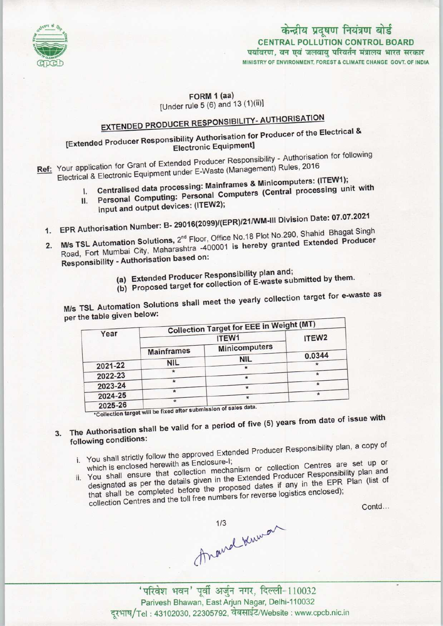

## केन्द्रीय प्रदूषण नियंत्रण बोर्ड **CENTRAL POLLUTION CONTROL BOARD** पर्यावरण, वन एवं जलवायु परिवर्तन मंत्रालय भारत सरकार MINISTRY OF ENVIRONMENT, FOREST & CLIMATE CHANGE GOVT, OF INDIA

# FORM 1 (aa) [Under rule  $5(6)$  and  $13(1)(ii)$ ]

# **EXTENDED PRODUCER RESPONSIBILITY- AUTHORISATION**

# EXTENDED PRODUCER RESPONSED TO THE Producer of the Electrical & Electronic Equipment]

Electronic  $=$ q-n. Your application for Grant of Extended Producer Responsibility Rules, 2016 Electrical & Electronic Equipment under E-Waste (Management) Rules, 2016<br> **I. Centralised data processing: Mainframes & Minicomputers: (ITEW1);**<br> **II. Personal Computing: Personal Computers (Central processing unit with** 

- Centralised data processing: Mainframes & Minicomputers: (ITEW1);
- 
- input and output devices: (1TEW2);
- 1. Personal Schipt<br>input and output devices: (ITEW2);<br>B- 29016(2099)/(EPR)/21/WM-III Division Date: 07.07.2021 29016(2099)/(EPR)/21/WM-III Division Date: 07.07.2021<br>2nd Floor, Office No.18 Plot No.290, Shahid Bhagat Singh
- 2. M/s TSL Automation Solutions, 2<sup>nd</sup> Floor, Office No.18 Plot No.290, Shahid Bhagat Singh<br>Road, Fort Mumbai City, Maharashtra -400001 is hereby granted Extended Producer Responsibility - Authorisation based on:
	- (a) Extended Producer Responsibility plan and;
	- (b) Proposed target for collection of E-waste submitted by them.
	-

I week the yearly collection target for e-waste as M/s TSL Automation Solutions sha per the table given below:

| Year    | <b>Collection Target for EEE in Weight (MT)</b> |                                    | ITEW <sub>2</sub> |
|---------|-------------------------------------------------|------------------------------------|-------------------|
|         | ITEW1                                           |                                    |                   |
|         | <b>Mainframes</b>                               | <b>Minicomputers</b><br><b>NIL</b> | 0.0344            |
|         |                                                 |                                    |                   |
| 2022-23 |                                                 |                                    |                   |
| 2023-24 |                                                 |                                    |                   |
| 2024-25 |                                                 |                                    |                   |
| 2025-26 |                                                 | " defter cubmission of sales data. |                   |

vill be fixed after submission of sales data. \*Collection target

3. The Authorisation shall be valid for a period of five (5) years from date of issue with following conditions:

- i. You shall strictly follow the approved Extended Producer Responsibility plan, a copy of i. You shall strictly follow the approved direction.<br>which is enclosed herewith as Enclosure-I;<br>i.e. and or collection Centres are set up or
- which is enclosed netewith as encomplement as per collection. Centres are set on the Way designated as per the details given in the Extended Producer Responsibility plan and<br>that shall be completed before the proposed dates if any in the EPR Plan (list of<br>collection Centres and the toll free numbers for revers which is enclosed Herewin' all entires and the Collection mechanism or collection Centres and the details given in the Extended Producer Responsibility that shall be completed before the proposed dates if any in the EPR P

Contd...

thand knowan

Parivesh Bhawan, East Arjun Nagar, Delhi-110032<br>दूरभाष/Tel : 43102030, 22305792, वेबसाईट/Website : www.cpcb.nic.in  $'$ परिवेश भवन' पूर्वी अर्जुन नगर, दिल्ली-110032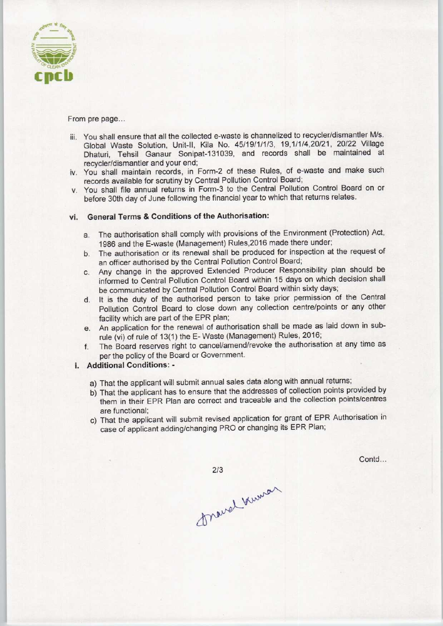

#### From pre page...

- iii. You shall ensure that all the collected e-waste is channelized to recycler/dismantler M/s. Global Waste Solution, Unit-ll, Kila No. 45/19/1/1/3, 19,1/1/4,20/21, 20/22 Village Dhaturi, Tehsil Ganaur Sonipat-131039, and records shall be maintained at recycler/dismantler and your end;
- iv. You shall maintain records, in Form-2 of these Rules, of e-waste and make such records available for scrutiny by Central Pollution Control Board;
- v. You shall file annual returns in Form-3 to the Central Pollution Control Board on or before 30th day of June following the financial year to which that returns relates.

### vi. General Terms & Conditions of the Authorisation:

- a. The authorisation shall comply with provisions of the Environment (Protection) Act, 1986 and the E-waste (Management) Rules,2016 made there under;
- b.The authorisation or its renewal shall be produced for inspection at the request of an officer authorised by the Central Pollution Control Board;
- c.Any change in the approved Extended Producer Responsibility plan should be informed to Central Pollution Control Board within 15 days on which decision shall be communicated by Central Pollution Control Board within sixty days;
- d. It is the duty of the authorised person to take prior permission of the Central Pollution Control Board to close down any collection centre/points or any other facility which are part of the EPR plan;
- e. An application for the renewal of authorisation shall be made as laid down in subrule (vi) of rule of 13(1) the E-Waste (Management) Rules, 2016;
- f. The Board reserves right to cancel/amend/revoke the authorisation at any time as per the policy of the Board or Government.

#### i. Additional Conditions: -

- a) That the applicant will submit annual sales data along with annual returns;
- b) That the applicant has to ensure that the addresses of collection points provided by them in their EPR Plan are correct and traceable and the collection points/centres are functional;
- c) That the applicant will submit revised application for grant of EPR Authorisation in case of applicant adding/changing PRO or changing its EPR Plan;

 $2/3$ Travel knivar Contd...